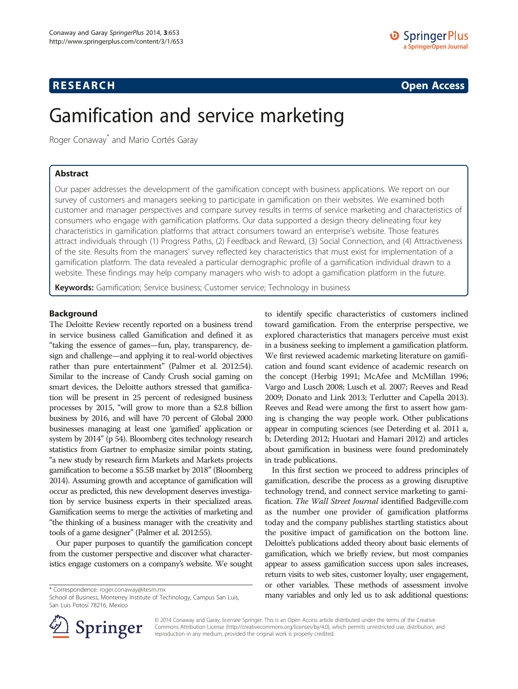# **RESEARCH RESEARCH CONSUMING ACCESS**

# Gamification and service marketing

Roger Conaway\* and Mario Cortés Garay

# Abstract

Our paper addresses the development of the gamification concept with business applications. We report on our survey of customers and managers seeking to participate in gamification on their websites. We examined both customer and manager perspectives and compare survey results in terms of service marketing and characteristics of consumers who engage with gamification platforms. Our data supported a design theory delineating four key characteristics in gamification platforms that attract consumers toward an enterprise's website. Those features attract individuals through (1) Progress Paths, (2) Feedback and Reward, (3) Social Connection, and (4) Attractiveness of the site. Results from the managers' survey reflected key characteristics that must exist for implementation of a gamification platform. The data revealed a particular demographic profile of a gamification individual drawn to a website. These findings may help company managers who wish to adopt a gamification platform in the future.

Keywords: Gamification; Service business; Customer service; Technology in business

# Background

The Deloitte Review recently reported on a business trend in service business called Gamification and defined it as "taking the essence of games—fun, play, transparency, design and challenge—and applying it to real-world objectives rather than pure entertainment" (Palmer et al. [2012](#page-10-0):54). Similar to the increase of Candy Crush social gaming on smart devices, the Deloitte authors stressed that gamification will be present in 25 percent of redesigned business processes by 2015, "will grow to more than a \$2.8 billion business by 2016, and will have 70 percent of Global 2000 businesses managing at least one 'gamified' application or system by 2014" (p 54). Bloomberg cites technology research statistics from Gartner to emphasize similar points stating, "a new study by research firm Markets and Markets projects gamification to become a \$5.5B market by 2018" (Bloomberg [2014](#page-10-0)). Assuming growth and acceptance of gamification will occur as predicted, this new development deserves investigation by service business experts in their specialized areas. Gamification seems to merge the activities of marketing and "the thinking of a business manager with the creativity and tools of a game designer" (Palmer et al. [2012:](#page-10-0)55).

Our paper purposes to quantify the gamification concept from the customer perspective and discover what characteristics engage customers on a company's website. We sought

School of Business, Monterrey Institute of Technology, Campus San Luis, San Luis Potosí 78216, Mexico

to identify specific characteristics of customers inclined toward gamification. From the enterprise perspective, we explored characteristics that managers perceive must exist in a business seeking to implement a gamification platform. We first reviewed academic marketing literature on gamification and found scant evidence of academic research on the concept (Herbig [1991;](#page-10-0) McAfee and McMillan [1996](#page-10-0); Vargo and Lusch [2008](#page-10-0); Lusch et al. [2007;](#page-10-0) Reeves and Read [2009;](#page-10-0) Donato and Link [2013;](#page-10-0) Terlutter and Capella [2013](#page-10-0)). Reeves and Read were among the first to assert how gaming is changing the way people work. Other publications appear in computing sciences (see Deterding et al. [2011 a](#page-10-0), [b;](#page-10-0) Deterding [2012;](#page-10-0) Huotari and Hamari [2012](#page-10-0)) and articles about gamification in business were found predominately in trade publications.

In this first section we proceed to address principles of gamification, describe the process as a growing disruptive technology trend, and connect service marketing to gamification. The Wall Street Journal identified Badgeville.com as the number one provider of gamification platforms today and the company publishes startling statistics about the positive impact of gamification on the bottom line. Deloitte's publications added theory about basic elements of gamification, which we briefly review, but most companies appear to assess gamification success upon sales increases, return visits to web sites, customer loyalty, user engagement, or other variables. These methods of assessment involve many variables and only led us to ask additional questions: \* Correspondence: [roger.conaway@itesm.mx](mailto:roger.conaway@itesm.mx)



© 2014 Conaway and Garay; licensee Springer. This is an Open Access article distributed under the terms of the Creative Commons Attribution License (<http://creativecommons.org/licenses/by/4.0>), which permits unrestricted use, distribution, and reproduction in any medium, provided the original work is properly credited.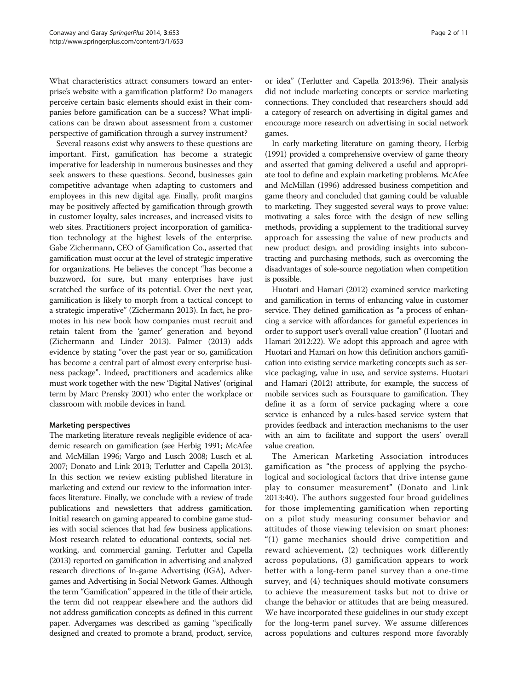What characteristics attract consumers toward an enterprise's website with a gamification platform? Do managers perceive certain basic elements should exist in their companies before gamification can be a success? What implications can be drawn about assessment from a customer perspective of gamification through a survey instrument?

Several reasons exist why answers to these questions are important. First, gamification has become a strategic imperative for leadership in numerous businesses and they seek answers to these questions. Second, businesses gain competitive advantage when adapting to customers and employees in this new digital age. Finally, profit margins may be positively affected by gamification through growth in customer loyalty, sales increases, and increased visits to web sites. Practitioners project incorporation of gamification technology at the highest levels of the enterprise. Gabe Zichermann, CEO of Gamification Co., asserted that gamification must occur at the level of strategic imperative for organizations. He believes the concept "has become a buzzword, for sure, but many enterprises have just scratched the surface of its potential. Over the next year, gamification is likely to morph from a tactical concept to a strategic imperative" (Zichermann [2013](#page-10-0)). In fact, he promotes in his new book how companies must recruit and retain talent from the 'gamer' generation and beyond (Zichermann and Linder [2013](#page-10-0)). Palmer [\(2013\)](#page-10-0) adds evidence by stating "over the past year or so, gamification has become a central part of almost every enterprise business package". Indeed, practitioners and academics alike must work together with the new 'Digital Natives' (original term by Marc Prensky [2001\)](#page-10-0) who enter the workplace or classroom with mobile devices in hand.

# Marketing perspectives

The marketing literature reveals negligible evidence of academic research on gamification (see Herbig [1991;](#page-10-0) McAfee and McMillan [1996](#page-10-0); Vargo and Lusch [2008](#page-10-0); Lusch et al. [2007;](#page-10-0) Donato and Link [2013;](#page-10-0) Terlutter and Capella [2013](#page-10-0)). In this section we review existing published literature in marketing and extend our review to the information interfaces literature. Finally, we conclude with a review of trade publications and newsletters that address gamification. Initial research on gaming appeared to combine game studies with social sciences that had few business applications. Most research related to educational contexts, social networking, and commercial gaming. Terlutter and Capella ([2013\)](#page-10-0) reported on gamification in advertising and analyzed research directions of In-game Advertising (IGA), Advergames and Advertising in Social Network Games. Although the term "Gamification" appeared in the title of their article, the term did not reappear elsewhere and the authors did not address gamification concepts as defined in this current paper. Advergames was described as gaming "specifically designed and created to promote a brand, product, service,

or idea" (Terlutter and Capella [2013:](#page-10-0)96). Their analysis did not include marketing concepts or service marketing connections. They concluded that researchers should add a category of research on advertising in digital games and encourage more research on advertising in social network games.

In early marketing literature on gaming theory, Herbig ([1991\)](#page-10-0) provided a comprehensive overview of game theory and asserted that gaming delivered a useful and appropriate tool to define and explain marketing problems. McAfee and McMillan [\(1996](#page-10-0)) addressed business competition and game theory and concluded that gaming could be valuable to marketing. They suggested several ways to prove value: motivating a sales force with the design of new selling methods, providing a supplement to the traditional survey approach for assessing the value of new products and new product design, and providing insights into subcontracting and purchasing methods, such as overcoming the disadvantages of sole-source negotiation when competition is possible.

Huotari and Hamari [\(2012](#page-10-0)) examined service marketing and gamification in terms of enhancing value in customer service. They defined gamification as "a process of enhancing a service with affordances for gameful experiences in order to support user's overall value creation" (Huotari and Hamari [2012](#page-10-0):22). We adopt this approach and agree with Huotari and Hamari on how this definition anchors gamification into existing service marketing concepts such as service packaging, value in use, and service systems. Huotari and Hamari ([2012\)](#page-10-0) attribute, for example, the success of mobile services such as Foursquare to gamification. They define it as a form of service packaging where a core service is enhanced by a rules-based service system that provides feedback and interaction mechanisms to the user with an aim to facilitate and support the users' overall value creation.

The American Marketing Association introduces gamification as "the process of applying the psychological and sociological factors that drive intense game play to consumer measurement" (Donato and Link [2013](#page-10-0):40). The authors suggested four broad guidelines for those implementing gamification when reporting on a pilot study measuring consumer behavior and attitudes of those viewing television on smart phones: "(1) game mechanics should drive competition and reward achievement, (2) techniques work differently across populations, (3) gamification appears to work better with a long-term panel survey than a one-time survey, and (4) techniques should motivate consumers to achieve the measurement tasks but not to drive or change the behavior or attitudes that are being measured. We have incorporated these guidelines in our study except for the long-term panel survey. We assume differences across populations and cultures respond more favorably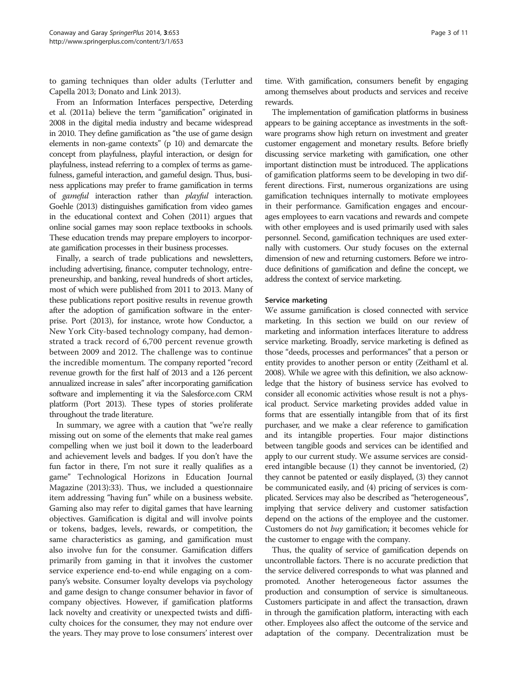to gaming techniques than older adults (Terlutter and Capella [2013](#page-10-0); Donato and Link [2013\)](#page-10-0).

From an Information Interfaces perspective, Deterding et al. [\(2011a](#page-10-0)) believe the term "gamification" originated in 2008 in the digital media industry and became widespread in 2010. They define gamification as "the use of game design elements in non-game contexts" (p 10) and demarcate the concept from playfulness, playful interaction, or design for playfulness, instead referring to a complex of terms as gamefulness, gameful interaction, and gameful design. Thus, business applications may prefer to frame gamification in terms of gameful interaction rather than playful interaction. Goehle ([2013](#page-10-0)) distinguishes gamification from video games in the educational context and Cohen [\(2011](#page-10-0)) argues that online social games may soon replace textbooks in schools. These education trends may prepare employers to incorporate gamification processes in their business processes.

Finally, a search of trade publications and newsletters, including advertising, finance, computer technology, entrepreneurship, and banking, reveal hundreds of short articles, most of which were published from 2011 to 2013. Many of these publications report positive results in revenue growth after the adoption of gamification software in the enterprise. Port [\(2013](#page-10-0)), for instance, wrote how Conductor, a New York City-based technology company, had demonstrated a track record of 6,700 percent revenue growth between 2009 and 2012. The challenge was to continue the incredible momentum. The company reported "record revenue growth for the first half of 2013 and a 126 percent annualized increase in sales" after incorporating gamification software and implementing it via the Salesforce.com CRM platform (Port [2013](#page-10-0)). These types of stories proliferate throughout the trade literature.

In summary, we agree with a caution that "we're really missing out on some of the elements that make real games compelling when we just boil it down to the leaderboard and achievement levels and badges. If you don't have the fun factor in there, I'm not sure it really qualifies as a game" Technological Horizons in Education Journal Magazine ([2013\)](#page-10-0):33). Thus, we included a questionnaire item addressing "having fun" while on a business website. Gaming also may refer to digital games that have learning objectives. Gamification is digital and will involve points or tokens, badges, levels, rewards, or competition, the same characteristics as gaming, and gamification must also involve fun for the consumer. Gamification differs primarily from gaming in that it involves the customer service experience end-to-end while engaging on a company's website. Consumer loyalty develops via psychology and game design to change consumer behavior in favor of company objectives. However, if gamification platforms lack novelty and creativity or unexpected twists and difficulty choices for the consumer, they may not endure over the years. They may prove to lose consumers' interest over

time. With gamification, consumers benefit by engaging among themselves about products and services and receive rewards.

The implementation of gamification platforms in business appears to be gaining acceptance as investments in the software programs show high return on investment and greater customer engagement and monetary results. Before briefly discussing service marketing with gamification, one other important distinction must be introduced. The applications of gamification platforms seem to be developing in two different directions. First, numerous organizations are using gamification techniques internally to motivate employees in their performance. Gamification engages and encourages employees to earn vacations and rewards and compete with other employees and is used primarily used with sales personnel. Second, gamification techniques are used externally with customers. Our study focuses on the external dimension of new and returning customers. Before we introduce definitions of gamification and define the concept, we address the context of service marketing.

# Service marketing

We assume gamification is closed connected with service marketing. In this section we build on our review of marketing and information interfaces literature to address service marketing. Broadly, service marketing is defined as those "deeds, processes and performances" that a person or entity provides to another person or entity (Zeithaml et al. [2008\)](#page-10-0). While we agree with this definition, we also acknowledge that the history of business service has evolved to consider all economic activities whose result is not a physical product. Service marketing provides added value in forms that are essentially intangible from that of its first purchaser, and we make a clear reference to gamification and its intangible properties. Four major distinctions between tangible goods and services can be identified and apply to our current study. We assume services are considered intangible because (1) they cannot be inventoried, (2) they cannot be patented or easily displayed, (3) they cannot be communicated easily, and (4) pricing of services is complicated. Services may also be described as "heterogeneous", implying that service delivery and customer satisfaction depend on the actions of the employee and the customer. Customers do not buy gamification; it becomes vehicle for the customer to engage with the company.

Thus, the quality of service of gamification depends on uncontrollable factors. There is no accurate prediction that the service delivered corresponds to what was planned and promoted. Another heterogeneous factor assumes the production and consumption of service is simultaneous. Customers participate in and affect the transaction, drawn in through the gamification platform, interacting with each other. Employees also affect the outcome of the service and adaptation of the company. Decentralization must be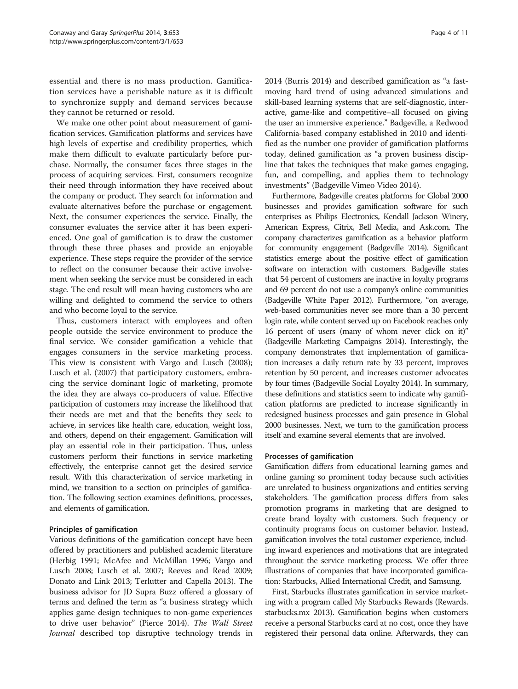essential and there is no mass production. Gamification services have a perishable nature as it is difficult to synchronize supply and demand services because they cannot be returned or resold.

We make one other point about measurement of gamification services. Gamification platforms and services have high levels of expertise and credibility properties, which make them difficult to evaluate particularly before purchase. Normally, the consumer faces three stages in the process of acquiring services. First, consumers recognize their need through information they have received about the company or product. They search for information and evaluate alternatives before the purchase or engagement. Next, the consumer experiences the service. Finally, the consumer evaluates the service after it has been experienced. One goal of gamification is to draw the customer through these three phases and provide an enjoyable experience. These steps require the provider of the service to reflect on the consumer because their active involvement when seeking the service must be considered in each stage. The end result will mean having customers who are willing and delighted to commend the service to others and who become loyal to the service.

Thus, customers interact with employees and often people outside the service environment to produce the final service. We consider gamification a vehicle that engages consumers in the service marketing process. This view is consistent with Vargo and Lusch ([2008](#page-10-0)); Lusch et al. ([2007](#page-10-0)) that participatory customers, embracing the service dominant logic of marketing, promote the idea they are always co-producers of value. Effective participation of customers may increase the likelihood that their needs are met and that the benefits they seek to achieve, in services like health care, education, weight loss, and others, depend on their engagement. Gamification will play an essential role in their participation. Thus, unless customers perform their functions in service marketing effectively, the enterprise cannot get the desired service result. With this characterization of service marketing in mind, we transition to a section on principles of gamification. The following section examines definitions, processes, and elements of gamification.

# Principles of gamification

Various definitions of the gamification concept have been offered by practitioners and published academic literature (Herbig [1991;](#page-10-0) McAfee and McMillan [1996;](#page-10-0) Vargo and Lusch [2008;](#page-10-0) Lusch et al. [2007;](#page-10-0) Reeves and Read [2009](#page-10-0); Donato and Link [2013](#page-10-0); Terlutter and Capella [2013\)](#page-10-0). The business advisor for JD Supra Buzz offered a glossary of terms and defined the term as "a business strategy which applies game design techniques to non-game experiences to drive user behavior" (Pierce [2014](#page-10-0)). The Wall Street Journal described top disruptive technology trends in 2014 (Burris [2014](#page-10-0)) and described gamification as "a fastmoving hard trend of using advanced simulations and skill-based learning systems that are self-diagnostic, interactive, game-like and competitive–all focused on giving the user an immersive experience." Badgeville, a Redwood California-based company established in 2010 and identified as the number one provider of gamification platforms today, defined gamification as "a proven business discipline that takes the techniques that make games engaging, fun, and compelling, and applies them to technology investments" (Badgeville Vimeo Video [2014](#page-10-0)).

Furthermore, Badgeville creates platforms for Global 2000 businesses and provides gamification software for such enterprises as Philips Electronics, Kendall Jackson Winery, American Express, Citrix, Bell Media, and Ask.com. The company characterizes gamification as a behavior platform for community engagement (Badgeville [2014](#page-9-0)). Significant statistics emerge about the positive effect of gamification software on interaction with customers. Badgeville states that 54 percent of customers are inactive in loyalty programs and 69 percent do not use a company's online communities (Badgeville White Paper [2012\)](#page-10-0). Furthermore, "on average, web-based communities never see more than a 30 percent login rate, while content served up on Facebook reaches only 16 percent of users (many of whom never click on it)" (Badgeville Marketing Campaigns [2014](#page-9-0)). Interestingly, the company demonstrates that implementation of gamification increases a daily return rate by 33 percent, improves retention by 50 percent, and increases customer advocates by four times (Badgeville Social Loyalty [2014\)](#page-10-0). In summary, these definitions and statistics seem to indicate why gamification platforms are predicted to increase significantly in redesigned business processes and gain presence in Global 2000 businesses. Next, we turn to the gamification process itself and examine several elements that are involved.

# Processes of gamification

Gamification differs from educational learning games and online gaming so prominent today because such activities are unrelated to business organizations and entities serving stakeholders. The gamification process differs from sales promotion programs in marketing that are designed to create brand loyalty with customers. Such frequency or continuity programs focus on customer behavior. Instead, gamification involves the total customer experience, including inward experiences and motivations that are integrated throughout the service marketing process. We offer three illustrations of companies that have incorporated gamification: Starbucks, Allied International Credit, and Samsung.

First, Starbucks illustrates gamification in service marketing with a program called My Starbucks Rewards (Rewards. starbucks.mx [2013](#page-10-0)). Gamification begins when customers receive a personal Starbucks card at no cost, once they have registered their personal data online. Afterwards, they can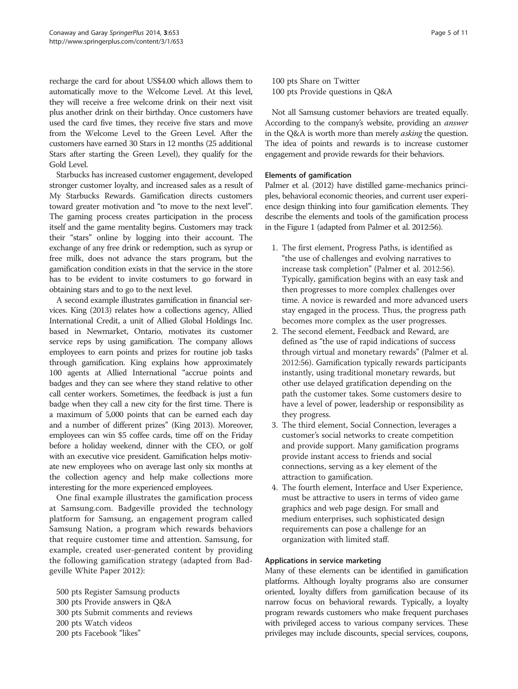recharge the card for about US\$4.00 which allows them to automatically move to the Welcome Level. At this level, they will receive a free welcome drink on their next visit plus another drink on their birthday. Once customers have used the card five times, they receive five stars and move from the Welcome Level to the Green Level. After the customers have earned 30 Stars in 12 months (25 additional Stars after starting the Green Level), they qualify for the Gold Level.

Starbucks has increased customer engagement, developed stronger customer loyalty, and increased sales as a result of My Starbucks Rewards. Gamification directs customers toward greater motivation and "to move to the next level". The gaming process creates participation in the process itself and the game mentality begins. Customers may track their "stars" online by logging into their account. The exchange of any free drink or redemption, such as syrup or free milk, does not advance the stars program, but the gamification condition exists in that the service in the store has to be evident to invite costumers to go forward in obtaining stars and to go to the next level.

A second example illustrates gamification in financial services. King [\(2013](#page-10-0)) relates how a collections agency, Allied International Credit, a unit of Allied Global Holdings Inc. based in Newmarket, Ontario, motivates its customer service reps by using gamification. The company allows employees to earn points and prizes for routine job tasks through gamification. King explains how approximately 100 agents at Allied International "accrue points and badges and they can see where they stand relative to other call center workers. Sometimes, the feedback is just a fun badge when they call a new city for the first time. There is a maximum of 5,000 points that can be earned each day and a number of different prizes" (King [2013\)](#page-10-0). Moreover, employees can win \$5 coffee cards, time off on the Friday before a holiday weekend, dinner with the CEO, or golf with an executive vice president. Gamification helps motivate new employees who on average last only six months at the collection agency and help make collections more interesting for the more experienced employees.

One final example illustrates the gamification process at Samsung.com. Badgeville provided the technology platform for Samsung, an engagement program called Samsung Nation, a program which rewards behaviors that require customer time and attention. Samsung, for example, created user-generated content by providing the following gamification strategy (adapted from Badgeville White Paper [2012](#page-10-0)):

500 pts Register Samsung products 300 pts Provide answers in Q&A 300 pts Submit comments and reviews 200 pts Watch videos 200 pts Facebook "likes"

100 pts Share on Twitter 100 pts Provide questions in Q&A

Not all Samsung customer behaviors are treated equally. According to the company's website, providing an answer in the O&A is worth more than merely *asking* the question. The idea of points and rewards is to increase customer engagement and provide rewards for their behaviors.

# Elements of gamification

Palmer et al. [\(2012\)](#page-10-0) have distilled game-mechanics principles, behavioral economic theories, and current user experience design thinking into four gamification elements. They describe the elements and tools of the gamification process in the Figure [1](#page-5-0) (adapted from Palmer et al. [2012:](#page-10-0)56).

- 1. The first element, Progress Paths, is identified as "the use of challenges and evolving narratives to increase task completion" (Palmer et al. [2012](#page-10-0):56). Typically, gamification begins with an easy task and then progresses to more complex challenges over time. A novice is rewarded and more advanced users stay engaged in the process. Thus, the progress path becomes more complex as the user progresses.
- 2. The second element, Feedback and Reward, are defined as "the use of rapid indications of success through virtual and monetary rewards" (Palmer et al. [2012:](#page-10-0)56). Gamification typically rewards participants instantly, using traditional monetary rewards, but other use delayed gratification depending on the path the customer takes. Some customers desire to have a level of power, leadership or responsibility as they progress.
- 3. The third element, Social Connection, leverages a customer's social networks to create competition and provide support. Many gamification programs provide instant access to friends and social connections, serving as a key element of the attraction to gamification.
- 4. The fourth element, Interface and User Experience, must be attractive to users in terms of video game graphics and web page design. For small and medium enterprises, such sophisticated design requirements can pose a challenge for an organization with limited staff.

# Applications in service marketing

Many of these elements can be identified in gamification platforms. Although loyalty programs also are consumer oriented, loyalty differs from gamification because of its narrow focus on behavioral rewards. Typically, a loyalty program rewards customers who make frequent purchases with privileged access to various company services. These privileges may include discounts, special services, coupons,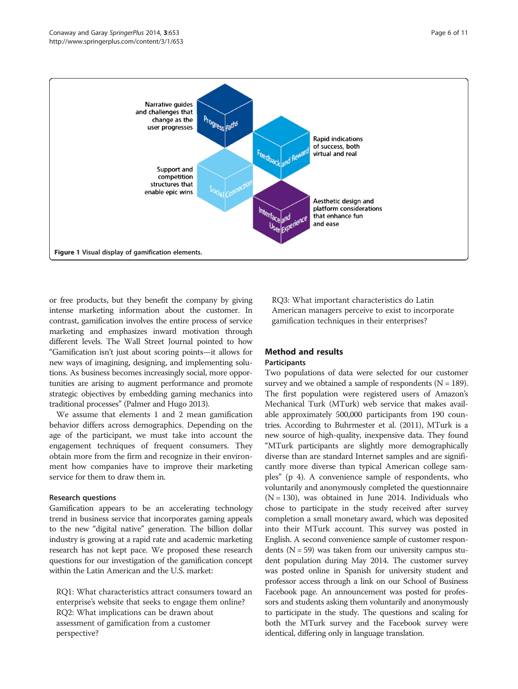<span id="page-5-0"></span>

or free products, but they benefit the company by giving intense marketing information about the customer. In contrast, gamification involves the entire process of service marketing and emphasizes inward motivation through different levels. The Wall Street Journal pointed to how "Gamification isn't just about scoring points—it allows for new ways of imagining, designing, and implementing solutions. As business becomes increasingly social, more opportunities are arising to augment performance and promote strategic objectives by embedding gaming mechanics into traditional processes" (Palmer and Hugo [2013](#page-10-0)).

We assume that elements 1 and 2 mean gamification behavior differs across demographics. Depending on the age of the participant, we must take into account the engagement techniques of frequent consumers. They obtain more from the firm and recognize in their environment how companies have to improve their marketing service for them to draw them in.

# Research questions

Gamification appears to be an accelerating technology trend in business service that incorporates gaming appeals to the new "digital native" generation. The billion dollar industry is growing at a rapid rate and academic marketing research has not kept pace. We proposed these research questions for our investigation of the gamification concept within the Latin American and the U.S. market:

RQ1: What characteristics attract consumers toward an enterprise's website that seeks to engage them online? RQ2: What implications can be drawn about assessment of gamification from a customer perspective?

RQ3: What important characteristics do Latin American managers perceive to exist to incorporate gamification techniques in their enterprises?

# Method and results **Participants**

Two populations of data were selected for our customer survey and we obtained a sample of respondents  $(N = 189)$ . The first population were registered users of Amazon's Mechanical Turk (MTurk) web service that makes available approximately 500,000 participants from 190 countries. According to Buhrmester et al. ([2011\)](#page-10-0), MTurk is a new source of high-quality, inexpensive data. They found "MTurk participants are slightly more demographically diverse than are standard Internet samples and are significantly more diverse than typical American college samples" (p 4). A convenience sample of respondents, who voluntarily and anonymously completed the questionnaire  $(N = 130)$ , was obtained in June 2014. Individuals who chose to participate in the study received after survey completion a small monetary award, which was deposited into their MTurk account. This survey was posted in English. A second convenience sample of customer respondents  $(N = 59)$  was taken from our university campus student population during May 2014. The customer survey was posted online in Spanish for university student and professor access through a link on our School of Business Facebook page. An announcement was posted for professors and students asking them voluntarily and anonymously to participate in the study. The questions and scaling for both the MTurk survey and the Facebook survey were identical, differing only in language translation.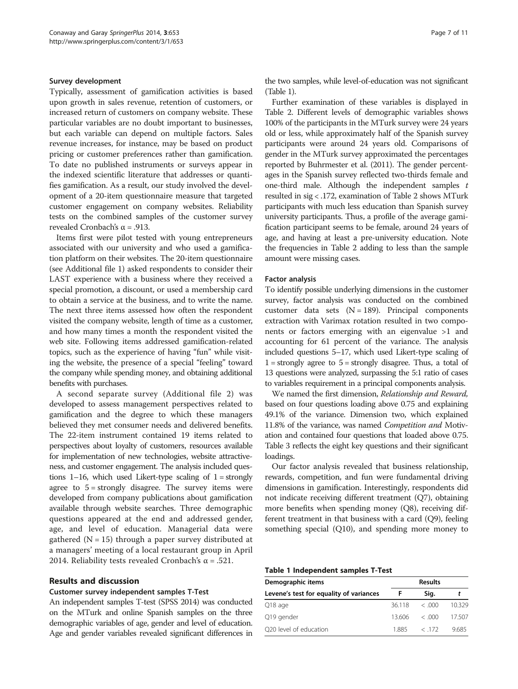#### Survey development

Typically, assessment of gamification activities is based upon growth in sales revenue, retention of customers, or increased return of customers on company website. These particular variables are no doubt important to businesses, but each variable can depend on multiple factors. Sales revenue increases, for instance, may be based on product pricing or customer preferences rather than gamification. To date no published instruments or surveys appear in the indexed scientific literature that addresses or quantifies gamification. As a result, our study involved the development of a 20-item questionnaire measure that targeted customer engagement on company websites. Reliability tests on the combined samples of the customer survey revealed Cronbach's α = .913.

Items first were pilot tested with young entrepreneurs associated with our university and who used a gamification platform on their websites. The 20-item questionnaire (see Additional file [1](#page-9-0)) asked respondents to consider their LAST experience with a business where they received a special promotion, a discount, or used a membership card to obtain a service at the business, and to write the name. The next three items assessed how often the respondent visited the company website, length of time as a customer, and how many times a month the respondent visited the web site. Following items addressed gamification-related topics, such as the experience of having "fun" while visiting the website, the presence of a special "feeling" toward the company while spending money, and obtaining additional benefits with purchases.

A second separate survey (Additional file [2\)](#page-9-0) was developed to assess management perspectives related to gamification and the degree to which these managers believed they met consumer needs and delivered benefits. The 22-item instrument contained 19 items related to perspectives about loyalty of customers, resources available for implementation of new technologies, website attractiveness, and customer engagement. The analysis included questions  $1-16$ , which used Likert-type scaling of  $1 =$  strongly agree to  $5 =$  strongly disagree. The survey items were developed from company publications about gamification available through website searches. Three demographic questions appeared at the end and addressed gender, age, and level of education. Managerial data were gathered  $(N = 15)$  through a paper survey distributed at a managers' meeting of a local restaurant group in April 2014. Reliability tests revealed Cronbach's  $\alpha$  = .521.

# Results and discussion

# Customer survey independent samples T-Test

An independent samples T-test (SPSS 2014) was conducted on the MTurk and online Spanish samples on the three demographic variables of age, gender and level of education. Age and gender variables revealed significant differences in the two samples, while level-of-education was not significant (Table 1).

Further examination of these variables is displayed in Table [2](#page-7-0). Different levels of demographic variables shows 100% of the participants in the MTurk survey were 24 years old or less, while approximately half of the Spanish survey participants were around 24 years old. Comparisons of gender in the MTurk survey approximated the percentages reported by Buhrmester et al. [\(2011](#page-10-0)). The gender percentages in the Spanish survey reflected two-thirds female and one-third male. Although the independent samples  $t$ resulted in sig < .172, examination of Table [2](#page-7-0) shows MTurk participants with much less education than Spanish survey university participants. Thus, a profile of the average gamification participant seems to be female, around 24 years of age, and having at least a pre-university education. Note the frequencies in Table [2](#page-7-0) adding to less than the sample amount were missing cases.

#### Factor analysis

To identify possible underlying dimensions in the customer survey, factor analysis was conducted on the combined customer data sets  $(N = 189)$ . Principal components extraction with Varimax rotation resulted in two components or factors emerging with an eigenvalue >1 and accounting for 61 percent of the variance. The analysis included questions 5–17, which used Likert-type scaling of  $1 =$  strongly agree to  $5 =$  strongly disagree. Thus, a total of 13 questions were analyzed, surpassing the 5:1 ratio of cases to variables requirement in a principal components analysis.

We named the first dimension, Relationship and Reward, based on four questions loading above 0.75 and explaining 49.1% of the variance. Dimension two, which explained 11.8% of the variance, was named Competition and Motivation and contained four questions that loaded above 0.75. Table [3](#page-7-0) reflects the eight key questions and their significant loadings.

Our factor analysis revealed that business relationship, rewards, competition, and fun were fundamental driving dimensions in gamification. Interestingly, respondents did not indicate receiving different treatment (Q7), obtaining more benefits when spending money (Q8), receiving different treatment in that business with a card (Q9), feeling something special (Q10), and spending more money to

Table 1 Independent samples T-Test

| Demographic items                       | <b>Results</b> |        |       |  |
|-----------------------------------------|----------------|--------|-------|--|
| Levene's test for equality of variances | F              | Sia.   |       |  |
| Q18 age                                 | 36118          | < 0.00 | 10329 |  |
| Q19 gender                              | 13606          | < 0.00 | 17507 |  |
| Q20 level of education                  | 1885           | < 172  | 9685  |  |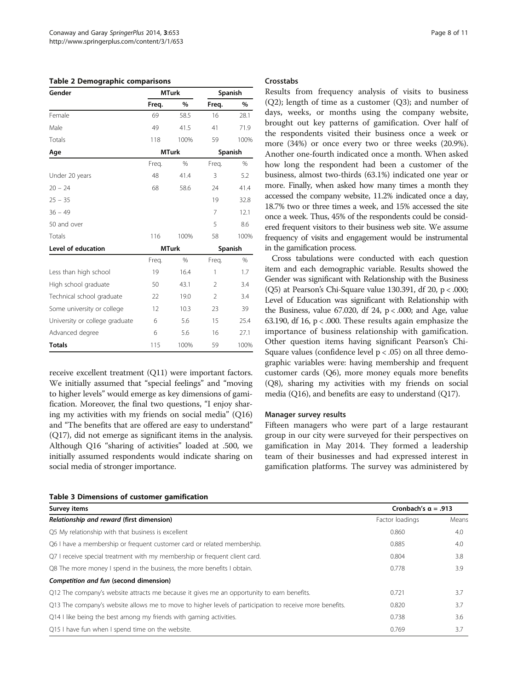<span id="page-7-0"></span>

| Gender                         |              | <b>MTurk</b> | Spanish        |         |  |
|--------------------------------|--------------|--------------|----------------|---------|--|
|                                | Freq.        | $\%$         | Freq.          | $\%$    |  |
| Female                         | 69           | 58.5         | 16             | 28.1    |  |
| Male                           | 49           | 41.5         | 41             | 71.9    |  |
| Totals                         | 118          | 100%         | 59             | 100%    |  |
| Age                            | <b>MTurk</b> |              |                | Spanish |  |
|                                | Freg.        | %            | Freg.          | %       |  |
| Under 20 years                 | 48           | 41.4         | 3              | 5.2     |  |
| $20 - 24$                      | 68           | 58.6         | 24             | 41.4    |  |
| $25 - 35$                      |              |              | 19             | 32.8    |  |
| $36 - 49$                      |              |              | 7              | 12.1    |  |
| 50 and over                    |              |              | 5              | 8.6     |  |
| Totals                         | 116          | 100%         | 58             | 100%    |  |
| <b>Level of education</b>      | <b>MTurk</b> |              | Spanish        |         |  |
|                                | Freq.        | $\%$         | Freq.          | %       |  |
| Less than high school          | 19           | 16.4         | 1              | 1.7     |  |
| High school graduate           | 50           | 43.1         | $\overline{2}$ | 3.4     |  |
| Technical school graduate      | 22           | 19.0         | $\overline{2}$ | 3.4     |  |
| Some university or college     | 12           | 10.3         | 23             | 39      |  |
| University or college graduate | 6            | 5.6          | 15             | 25.4    |  |
| Advanced degree                | 6            | 5.6          | 16             | 27.1    |  |
| <b>Totals</b>                  | 115          | 100%         | 59             | 100%    |  |

receive excellent treatment (Q11) were important factors. We initially assumed that "special feelings" and "moving to higher levels" would emerge as key dimensions of gamification. Moreover, the final two questions, "I enjoy sharing my activities with my friends on social media" (Q16) and "The benefits that are offered are easy to understand" (Q17), did not emerge as significant items in the analysis. Although Q16 "sharing of activities" loaded at .500, we initially assumed respondents would indicate sharing on social media of stronger importance.

|  |  |  |  |  | Table 3 Dimensions of customer gamification |
|--|--|--|--|--|---------------------------------------------|
|--|--|--|--|--|---------------------------------------------|

# Crosstabs

Results from frequency analysis of visits to business (Q2); length of time as a customer (Q3); and number of days, weeks, or months using the company website, brought out key patterns of gamification. Over half of the respondents visited their business once a week or more (34%) or once every two or three weeks (20.9%). Another one-fourth indicated once a month. When asked how long the respondent had been a customer of the business, almost two-thirds (63.1%) indicated one year or more. Finally, when asked how many times a month they accessed the company website, 11.2% indicated once a day, 18.7% two or three times a week, and 15% accessed the site once a week. Thus, 45% of the respondents could be considered frequent visitors to their business web site. We assume frequency of visits and engagement would be instrumental in the gamification process.

Cross tabulations were conducted with each question item and each demographic variable. Results showed the Gender was significant with Relationship with the Business (Q5) at Pearson's Chi-Square value 130.391, df 20, p < .000; Level of Education was significant with Relationship with the Business, value 67.020, df 24,  $p < .000$ ; and Age, value 63.190, df 16, p < .000. These results again emphasize the importance of business relationship with gamification. Other question items having significant Pearson's Chi-Square values (confidence level  $p < .05$ ) on all three demographic variables were: having membership and frequent customer cards (Q6), more money equals more benefits (Q8), sharing my activities with my friends on social media (Q16), and benefits are easy to understand (Q17).

# Manager survey results

Fifteen managers who were part of a large restaurant group in our city were surveyed for their perspectives on gamification in May 2014. They formed a leadership team of their businesses and had expressed interest in gamification platforms. The survey was administered by

| <b>Survey items</b>                                                                                     | Cronbach's $\alpha$ = .913 |       |  |
|---------------------------------------------------------------------------------------------------------|----------------------------|-------|--|
| Relationship and reward (first dimension)                                                               | Factor loadings            | Means |  |
| Q5 My relationship with that business is excellent                                                      | 0.860                      | 4.0   |  |
| Q6 I have a membership or frequent customer card or related membership.                                 | 0.885                      | 4.0   |  |
| Q7 I receive special treatment with my membership or frequent client card.                              | 0.804                      | 3.8   |  |
| Q8 The more money I spend in the business, the more benefits I obtain.                                  | 0.778                      | 3.9   |  |
| Competition and fun (second dimension)                                                                  |                            |       |  |
| Q12 The company's website attracts me because it gives me an opportunity to earn benefits.              | 0.721                      | 3.7   |  |
| Q13 The company's website allows me to move to higher levels of participation to receive more benefits. | 0.820                      | 3.7   |  |
| Q14 I like being the best among my friends with gaming activities.                                      | 0.738                      | 3.6   |  |
| Q15 I have fun when I spend time on the website.                                                        | 0.769                      | 3.7   |  |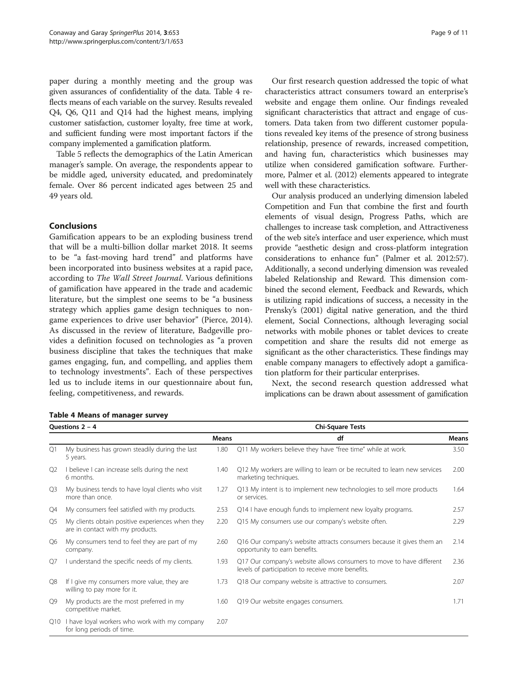paper during a monthly meeting and the group was given assurances of confidentiality of the data. Table 4 reflects means of each variable on the survey. Results revealed Q4, Q6, Q11 and Q14 had the highest means, implying customer satisfaction, customer loyalty, free time at work, and sufficient funding were most important factors if the company implemented a gamification platform.

Table [5](#page-9-0) reflects the demographics of the Latin American manager's sample. On average, the respondents appear to be middle aged, university educated, and predominately female. Over 86 percent indicated ages between 25 and 49 years old.

# Conclusions

Gamification appears to be an exploding business trend that will be a multi-billion dollar market 2018. It seems to be "a fast-moving hard trend" and platforms have been incorporated into business websites at a rapid pace, according to The Wall Street Journal. Various definitions of gamification have appeared in the trade and academic literature, but the simplest one seems to be "a business strategy which applies game design techniques to nongame experiences to drive user behavior" (Pierce, [2014](#page-10-0)). As discussed in the review of literature, Badgeville provides a definition focused on technologies as "a proven business discipline that takes the techniques that make games engaging, fun, and compelling, and applies them to technology investments". Each of these perspectives led us to include items in our questionnaire about fun, feeling, competitiveness, and rewards.

| Page 9 of 11 |  |  |
|--------------|--|--|
|              |  |  |

Our first research question addressed the topic of what characteristics attract consumers toward an enterprise's website and engage them online. Our findings revealed significant characteristics that attract and engage of customers. Data taken from two different customer populations revealed key items of the presence of strong business relationship, presence of rewards, increased competition, and having fun, characteristics which businesses may utilize when considered gamification software. Furthermore, Palmer et al. [\(2012](#page-10-0)) elements appeared to integrate well with these characteristics.

Our analysis produced an underlying dimension labeled Competition and Fun that combine the first and fourth elements of visual design, Progress Paths, which are challenges to increase task completion, and Attractiveness of the web site's interface and user experience, which must provide "aesthetic design and cross-platform integration considerations to enhance fun" (Palmer et al. [2012:](#page-10-0)57). Additionally, a second underlying dimension was revealed labeled Relationship and Reward. This dimension combined the second element, Feedback and Rewards, which is utilizing rapid indications of success, a necessity in the Prensky's ([2001](#page-10-0)) digital native generation, and the third element, Social Connections, although leveraging social networks with mobile phones or tablet devices to create competition and share the results did not emerge as significant as the other characteristics. These findings may enable company managers to effectively adopt a gamification platform for their particular enterprises.

Next, the second research question addressed what implications can be drawn about assessment of gamification

| <b>Table 4 Means of manager survey</b> |  |  |  |
|----------------------------------------|--|--|--|
|----------------------------------------|--|--|--|

| Ouestions $2 - 4$ |                                                                                      |              | <b>Chi-Square Tests</b>                                                                                                   |              |  |  |  |
|-------------------|--------------------------------------------------------------------------------------|--------------|---------------------------------------------------------------------------------------------------------------------------|--------------|--|--|--|
|                   |                                                                                      | <b>Means</b> | df                                                                                                                        | <b>Means</b> |  |  |  |
| Q1                | My business has grown steadily during the last<br>5 years.                           | 1.80         | Q11 My workers believe they have "free time" while at work.                                                               | 3.50         |  |  |  |
| Q2                | I believe I can increase sells during the next<br>6 months.                          | 1.40         | Q12 My workers are willing to learn or be recruited to learn new services<br>marketing techniques.                        | 2.00         |  |  |  |
| Q3                | My business tends to have loyal clients who visit<br>more than once.                 | 1.27         | Q13 My intent is to implement new technologies to sell more products<br>or services.                                      | 1.64         |  |  |  |
| Q4                | My consumers feel satisfied with my products.                                        | 2.53         | Q14 I have enough funds to implement new loyalty programs.                                                                | 2.57         |  |  |  |
| Q5                | My clients obtain positive experiences when they<br>are in contact with my products. | 2.20         | Q15 My consumers use our company's website often.                                                                         | 2.29         |  |  |  |
| O6                | My consumers tend to feel they are part of my<br>company.                            | 2.60         | Q16 Our company's website attracts consumers because it gives them an<br>opportunity to earn benefits.                    | 2.14         |  |  |  |
| Q7                | I understand the specific needs of my clients.                                       | 1.93         | Q17 Our company's website allows consumers to move to have different<br>levels of participation to receive more benefits. | 2.36         |  |  |  |
| Q8                | If I give my consumers more value, they are<br>willing to pay more for it.           | 1.73         | Q18 Our company website is attractive to consumers.                                                                       | 2.07         |  |  |  |
| Q9                | My products are the most preferred in my<br>competitive market.                      | 1.60         | Q19 Our website engages consumers.                                                                                        | 1.71         |  |  |  |
|                   | Q10 I have loyal workers who work with my company<br>for long periods of time.       | 2.07         |                                                                                                                           |              |  |  |  |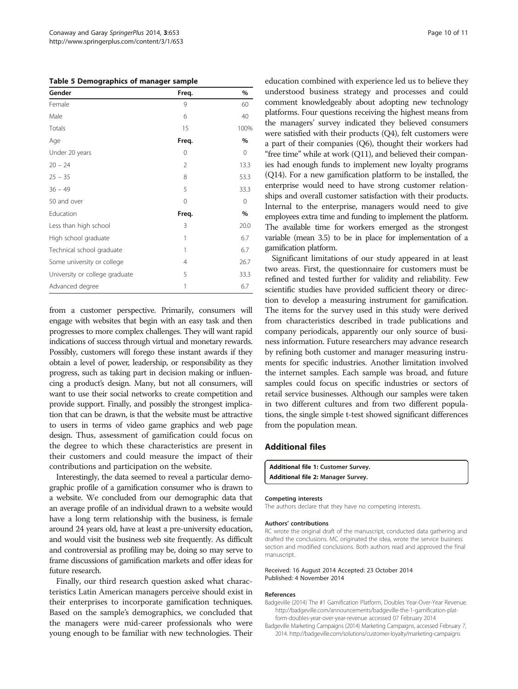<span id="page-9-0"></span>Table 5 Demographics of manager sample

| Gender                         | Freq.    | %        |
|--------------------------------|----------|----------|
| Female                         | 9        | 60       |
| Male                           | 6        | 40       |
| Totals                         | 15       | 100%     |
| Age                            | Freq.    | $\%$     |
| Under 20 years                 | 0        | 0        |
| $20 - 24$                      | 2        | 13.3     |
| $25 - 35$                      | 8        | 53.3     |
| $36 - 49$                      | 5        | 33.3     |
| 50 and over                    | $\Omega$ | $\Omega$ |
| Education                      | Freq.    | %        |
| Less than high school          | 3        | 20.0     |
| High school graduate           | 1        | 6.7      |
| Technical school graduate      | 1        | 6.7      |
| Some university or college     | 4        | 26.7     |
| University or college graduate | 5        | 33.3     |
| Advanced degree                | 1        | 6.7      |

from a customer perspective. Primarily, consumers will engage with websites that begin with an easy task and then progresses to more complex challenges. They will want rapid indications of success through virtual and monetary rewards. Possibly, customers will forego these instant awards if they obtain a level of power, leadership, or responsibility as they progress, such as taking part in decision making or influencing a product's design. Many, but not all consumers, will want to use their social networks to create competition and provide support. Finally, and possibly the strongest implication that can be drawn, is that the website must be attractive to users in terms of video game graphics and web page design. Thus, assessment of gamification could focus on the degree to which these characteristics are present in their customers and could measure the impact of their contributions and participation on the website.

Interestingly, the data seemed to reveal a particular demographic profile of a gamification consumer who is drawn to a website. We concluded from our demographic data that an average profile of an individual drawn to a website would have a long term relationship with the business, is female around 24 years old, have at least a pre-university education, and would visit the business web site frequently. As difficult and controversial as profiling may be, doing so may serve to frame discussions of gamification markets and offer ideas for future research.

Finally, our third research question asked what characteristics Latin American managers perceive should exist in their enterprises to incorporate gamification techniques. Based on the sample's demographics, we concluded that the managers were mid-career professionals who were young enough to be familiar with new technologies. Their

education combined with experience led us to believe they understood business strategy and processes and could comment knowledgeably about adopting new technology platforms. Four questions receiving the highest means from the managers' survey indicated they believed consumers were satisfied with their products (Q4), felt customers were a part of their companies (Q6), thought their workers had "free time" while at work (Q11), and believed their companies had enough funds to implement new loyalty programs (Q14). For a new gamification platform to be installed, the enterprise would need to have strong customer relationships and overall customer satisfaction with their products. Internal to the enterprise, managers would need to give employees extra time and funding to implement the platform. The available time for workers emerged as the strongest variable (mean 3.5) to be in place for implementation of a gamification platform.

Significant limitations of our study appeared in at least two areas. First, the questionnaire for customers must be refined and tested further for validity and reliability. Few scientific studies have provided sufficient theory or direction to develop a measuring instrument for gamification. The items for the survey used in this study were derived from characteristics described in trade publications and company periodicals, apparently our only source of business information. Future researchers may advance research by refining both customer and manager measuring instruments for specific industries. Another limitation involved the internet samples. Each sample was broad, and future samples could focus on specific industries or sectors of retail service businesses. Although our samples were taken in two different cultures and from two different populations, the single simple t-test showed significant differences from the population mean.

# Additional files

[Additional file 1:](http://www.biomedcentral.com/content/supplementary/2193-1801-3-653-S1.doc) Customer Survey. [Additional file 2:](http://www.biomedcentral.com/content/supplementary/2193-1801-3-653-S2.doc) Manager Survey.

#### Competing interests

The authors declare that they have no competing interests.

#### Authors' contributions

RC wrote the original draft of the manuscript, conducted data gathering and drafted the conclusions. MC originated the idea, wrote the service business section and modified conclusions. Both authors read and approved the final manuscript.

#### Received: 16 August 2014 Accepted: 23 October 2014 Published: 4 November 2014

#### References

- Badgeville (2014) The #1 Gamification Platform, Doubles Year-Over-Year Revenue. [http://badgeville.com/announcements/badgeville-the-1-gamification-plat](http://badgeville.com/announcements/badgeville-the-1-gamification-platform-doubles-year-over-year-revenue)[form-doubles-year-over-year-revenue](http://badgeville.com/announcements/badgeville-the-1-gamification-platform-doubles-year-over-year-revenue) accessed 07 February 2014
- Badgeville Marketing Campaigns (2014) Marketing Campaigns, accessed February 7, 2014.<http://badgeville.com/solutions/customer-loyalty/marketing-campaigns>